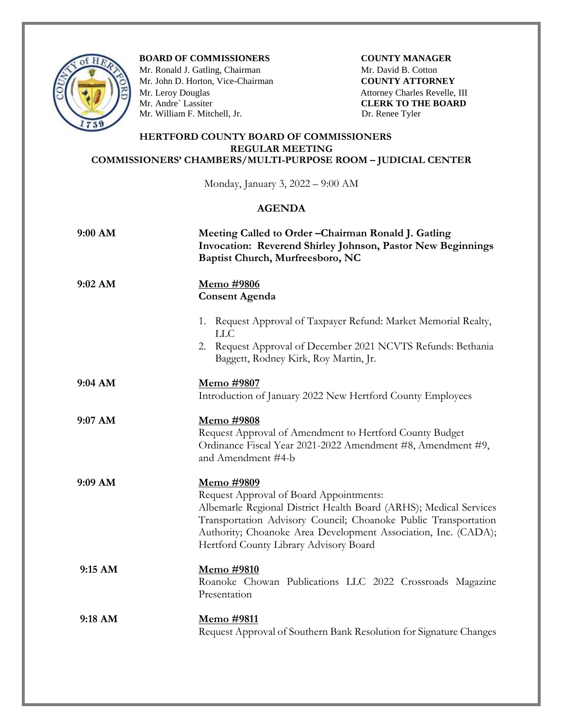

**BOARD OF COMMISSIONERS COUNTY MANAGER** 

Mr. Ronald J. Gatling, Chairman **Mr. David B. Cotton** Mr. John D. Horton, Vice-Chairman **COUNTY ATTORNEY**<br>
Mr. Leroy Douglas Attorney Charles Revelle,<br>
Mr. Andre` Lassiter **CLERK TO THE BOAR** Mr. William F. Mitchell, Jr. Dr. Renee Tyler

Attorney Charles Revelle, III **CLERK TO THE BOARD** 

## **HERTFORD COUNTY BOARD OF COMMISSIONERS REGULAR MEETING COMMISSIONERS' CHAMBERS/MULTI-PURPOSE ROOM – JUDICIAL CENTER**

Monday, January 3, 2022 – 9:00 AM

## **AGENDA**

| 9:00 AM   | Meeting Called to Order - Chairman Ronald J. Gatling<br>Invocation: Reverend Shirley Johnson, Pastor New Beginnings<br>Baptist Church, Murfreesboro, NC                                                                                                                                                   |
|-----------|-----------------------------------------------------------------------------------------------------------------------------------------------------------------------------------------------------------------------------------------------------------------------------------------------------------|
| 9:02 AM   | <u>Memo #9806</u><br><b>Consent Agenda</b>                                                                                                                                                                                                                                                                |
|           | 1. Request Approval of Taxpayer Refund: Market Memorial Realty,<br><b>LLC</b><br>2. Request Approval of December 2021 NCVTS Refunds: Bethania<br>Baggett, Rodney Kirk, Roy Martin, Jr.                                                                                                                    |
| 9:04 AM   | Memo #9807<br>Introduction of January 2022 New Hertford County Employees                                                                                                                                                                                                                                  |
| $9:07$ AM | Memo #9808<br>Request Approval of Amendment to Hertford County Budget<br>Ordinance Fiscal Year 2021-2022 Amendment #8, Amendment #9,<br>and Amendment #4-b                                                                                                                                                |
| 9:09 AM   | Memo #9809<br>Request Approval of Board Appointments:<br>Albemarle Regional District Health Board (ARHS); Medical Services<br>Transportation Advisory Council; Choanoke Public Transportation<br>Authority; Choanoke Area Development Association, Inc. (CADA);<br>Hertford County Library Advisory Board |
| 9:15 AM   | Memo #9810<br>Roanoke Chowan Publications LLC 2022 Crossroads Magazine<br>Presentation                                                                                                                                                                                                                    |
| 9:18 AM   | Memo #9811<br>Request Approval of Southern Bank Resolution for Signature Changes                                                                                                                                                                                                                          |